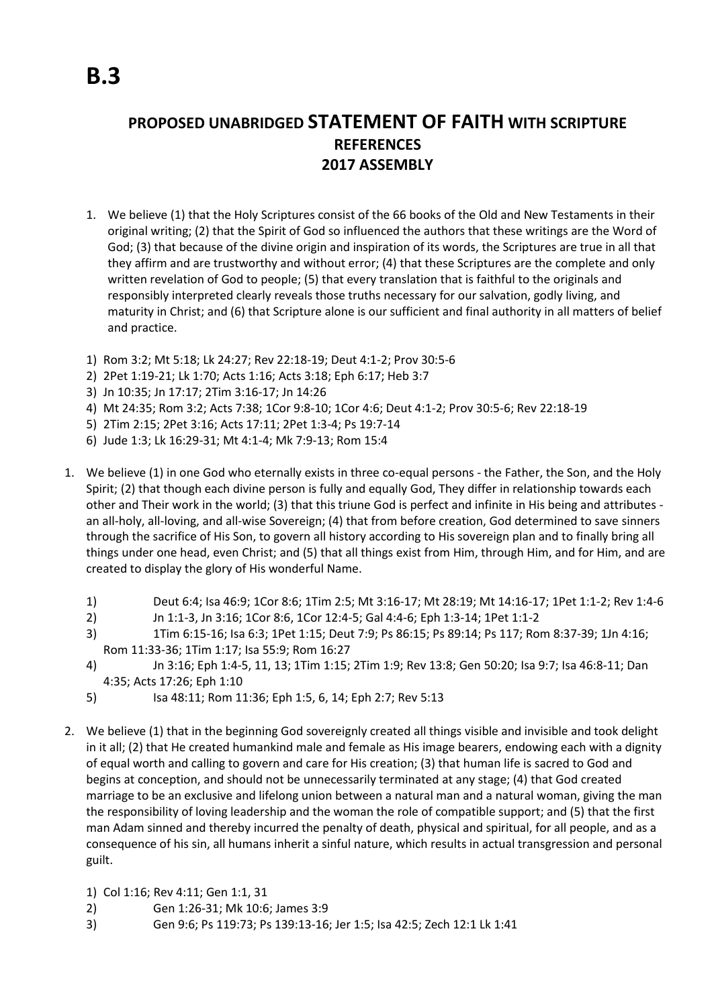## **PROPOSED UNABRIDGED STATEMENT OF FAITH WITH SCRIPTURE REFERENCES 2017 ASSEMBLY**

- 1. We believe (1) that the Holy Scriptures consist of the 66 books of the Old and New Testaments in their original writing; (2) that the Spirit of God so influenced the authors that these writings are the Word of God; (3) that because of the divine origin and inspiration of its words, the Scriptures are true in all that they affirm and are trustworthy and without error; (4) that these Scriptures are the complete and only written revelation of God to people; (5) that every translation that is faithful to the originals and responsibly interpreted clearly reveals those truths necessary for our salvation, godly living, and maturity in Christ; and (6) that Scripture alone is our sufficient and final authority in all matters of belief and practice.
- 1) Rom 3:2; Mt 5:18; Lk 24:27; Rev 22:18-19; Deut 4:1-2; Prov 30:5-6
- 2) 2Pet 1:19-21; Lk 1:70; Acts 1:16; Acts 3:18; Eph 6:17; Heb 3:7
- 3) Jn 10:35; Jn 17:17; 2Tim 3:16-17; Jn 14:26
- 4) Mt 24:35; Rom 3:2; Acts 7:38; 1Cor 9:8-10; 1Cor 4:6; Deut 4:1-2; Prov 30:5-6; Rev 22:18-19
- 5) 2Tim 2:15; 2Pet 3:16; Acts 17:11; 2Pet 1:3-4; Ps 19:7-14
- 6) Jude 1:3; Lk 16:29-31; Mt 4:1-4; Mk 7:9-13; Rom 15:4
- 1. We believe (1) in one God who eternally exists in three co-equal persons the Father, the Son, and the Holy Spirit; (2) that though each divine person is fully and equally God, They differ in relationship towards each other and Their work in the world; (3) that this triune God is perfect and infinite in His being and attributes an all-holy, all-loving, and all-wise Sovereign; (4) that from before creation, God determined to save sinners through the sacrifice of His Son, to govern all history according to His sovereign plan and to finally bring all things under one head, even Christ; and (5) that all things exist from Him, through Him, and for Him, and are created to display the glory of His wonderful Name.
	- 1) Deut 6:4; Isa 46:9; 1Cor 8:6; 1Tim 2:5; Mt 3:16-17; Mt 28:19; Mt 14:16-17; 1Pet 1:1-2; Rev 1:4-6
	- 2) Jn 1:1-3, Jn 3:16; 1Cor 8:6, 1Cor 12:4-5; Gal 4:4-6; Eph 1:3-14; 1Pet 1:1-2
	- 3) 1Tim 6:15-16; Isa 6:3; 1Pet 1:15; Deut 7:9; Ps 86:15; Ps 89:14; Ps 117; Rom 8:37-39; 1Jn 4:16; Rom 11:33-36; 1Tim 1:17; Isa 55:9; Rom 16:27
	- 4) Jn 3:16; Eph 1:4-5, 11, 13; 1Tim 1:15; 2Tim 1:9; Rev 13:8; Gen 50:20; Isa 9:7; Isa 46:8-11; Dan 4:35; Acts 17:26; Eph 1:10
	- 5) Isa 48:11; Rom 11:36; Eph 1:5, 6, 14; Eph 2:7; Rev 5:13
- 2. We believe (1) that in the beginning God sovereignly created all things visible and invisible and took delight in it all; (2) that He created humankind male and female as His image bearers, endowing each with a dignity of equal worth and calling to govern and care for His creation; (3) that human life is sacred to God and begins at conception, and should not be unnecessarily terminated at any stage; (4) that God created marriage to be an exclusive and lifelong union between a natural man and a natural woman, giving the man the responsibility of loving leadership and the woman the role of compatible support; and (5) that the first man Adam sinned and thereby incurred the penalty of death, physical and spiritual, for all people, and as a consequence of his sin, all humans inherit a sinful nature, which results in actual transgression and personal guilt.
	- 1) Col 1:16; Rev 4:11; Gen 1:1, 31
	- 2) Gen 1:26-31; Mk 10:6; James 3:9
	- 3) Gen 9:6; Ps 119:73; Ps 139:13-16; Jer 1:5; Isa 42:5; Zech 12:1 Lk 1:41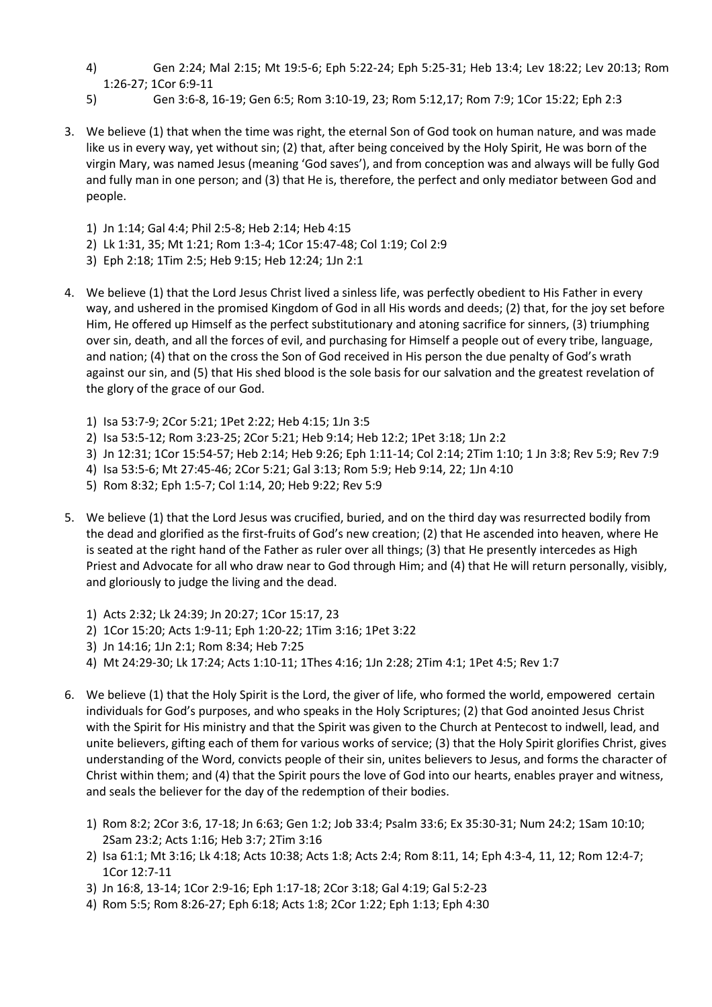- 4) Gen 2:24; Mal 2:15; Mt 19:5-6; Eph 5:22-24; Eph 5:25-31; Heb 13:4; Lev 18:22; Lev 20:13; Rom 1:26-27; 1Cor 6:9-11
- 5) Gen 3:6-8, 16-19; Gen 6:5; Rom 3:10-19, 23; Rom 5:12,17; Rom 7:9; 1Cor 15:22; Eph 2:3
- 3. We believe (1) that when the time was right, the eternal Son of God took on human nature, and was made like us in every way, yet without sin; (2) that, after being conceived by the Holy Spirit, He was born of the virgin Mary, was named Jesus (meaning 'God saves'), and from conception was and always will be fully God and fully man in one person; and (3) that He is, therefore, the perfect and only mediator between God and people.
	- 1) Jn 1:14; Gal 4:4; Phil 2:5-8; Heb 2:14; Heb 4:15
	- 2) Lk 1:31, 35; Mt 1:21; Rom 1:3-4; 1Cor 15:47-48; Col 1:19; Col 2:9
	- 3) Eph 2:18; 1Tim 2:5; Heb 9:15; Heb 12:24; 1Jn 2:1
- 4. We believe (1) that the Lord Jesus Christ lived a sinless life, was perfectly obedient to His Father in every way, and ushered in the promised Kingdom of God in all His words and deeds; (2) that, for the joy set before Him, He offered up Himself as the perfect substitutionary and atoning sacrifice for sinners, (3) triumphing over sin, death, and all the forces of evil, and purchasing for Himself a people out of every tribe, language, and nation; (4) that on the cross the Son of God received in His person the due penalty of God's wrath against our sin, and (5) that His shed blood is the sole basis for our salvation and the greatest revelation of the glory of the grace of our God.
	- 1) Isa 53:7-9; 2Cor 5:21; 1Pet 2:22; Heb 4:15; 1Jn 3:5
	- 2) Isa 53:5-12; Rom 3:23-25; 2Cor 5:21; Heb 9:14; Heb 12:2; 1Pet 3:18; 1Jn 2:2
	- 3) Jn 12:31; 1Cor 15:54-57; Heb 2:14; Heb 9:26; Eph 1:11-14; Col 2:14; 2Tim 1:10; 1 Jn 3:8; Rev 5:9; Rev 7:9
	- 4) Isa 53:5-6; Mt 27:45-46; 2Cor 5:21; Gal 3:13; Rom 5:9; Heb 9:14, 22; 1Jn 4:10
	- 5) Rom 8:32; Eph 1:5-7; Col 1:14, 20; Heb 9:22; Rev 5:9
- 5. We believe (1) that the Lord Jesus was crucified, buried, and on the third day was resurrected bodily from the dead and glorified as the first-fruits of God's new creation; (2) that He ascended into heaven, where He is seated at the right hand of the Father as ruler over all things; (3) that He presently intercedes as High Priest and Advocate for all who draw near to God through Him; and (4) that He will return personally, visibly, and gloriously to judge the living and the dead.
	- 1) Acts 2:32; Lk 24:39; Jn 20:27; 1Cor 15:17, 23
	- 2) 1Cor 15:20; Acts 1:9-11; Eph 1:20-22; 1Tim 3:16; 1Pet 3:22
	- 3) Jn 14:16; 1Jn 2:1; Rom 8:34; Heb 7:25
	- 4) Mt 24:29-30; Lk 17:24; Acts 1:10-11; 1Thes 4:16; 1Jn 2:28; 2Tim 4:1; 1Pet 4:5; Rev 1:7
- 6. We believe (1) that the Holy Spirit is the Lord, the giver of life, who formed the world, empowered certain individuals for God's purposes, and who speaks in the Holy Scriptures; (2) that God anointed Jesus Christ with the Spirit for His ministry and that the Spirit was given to the Church at Pentecost to indwell, lead, and unite believers, gifting each of them for various works of service; (3) that the Holy Spirit glorifies Christ, gives understanding of the Word, convicts people of their sin, unites believers to Jesus, and forms the character of Christ within them; and (4) that the Spirit pours the love of God into our hearts, enables prayer and witness, and seals the believer for the day of the redemption of their bodies.
	- 1) Rom 8:2; 2Cor 3:6, 17-18; Jn 6:63; Gen 1:2; Job 33:4; Psalm 33:6; Ex 35:30-31; Num 24:2; 1Sam 10:10; 2Sam 23:2; Acts 1:16; Heb 3:7; 2Tim 3:16
	- 2) Isa 61:1; Mt 3:16; Lk 4:18; Acts 10:38; Acts 1:8; Acts 2:4; Rom 8:11, 14; Eph 4:3-4, 11, 12; Rom 12:4-7; 1Cor 12:7-11
	- 3) Jn 16:8, 13-14; 1Cor 2:9-16; Eph 1:17-18; 2Cor 3:18; Gal 4:19; Gal 5:2-23
	- 4) Rom 5:5; Rom 8:26-27; Eph 6:18; Acts 1:8; 2Cor 1:22; Eph 1:13; Eph 4:30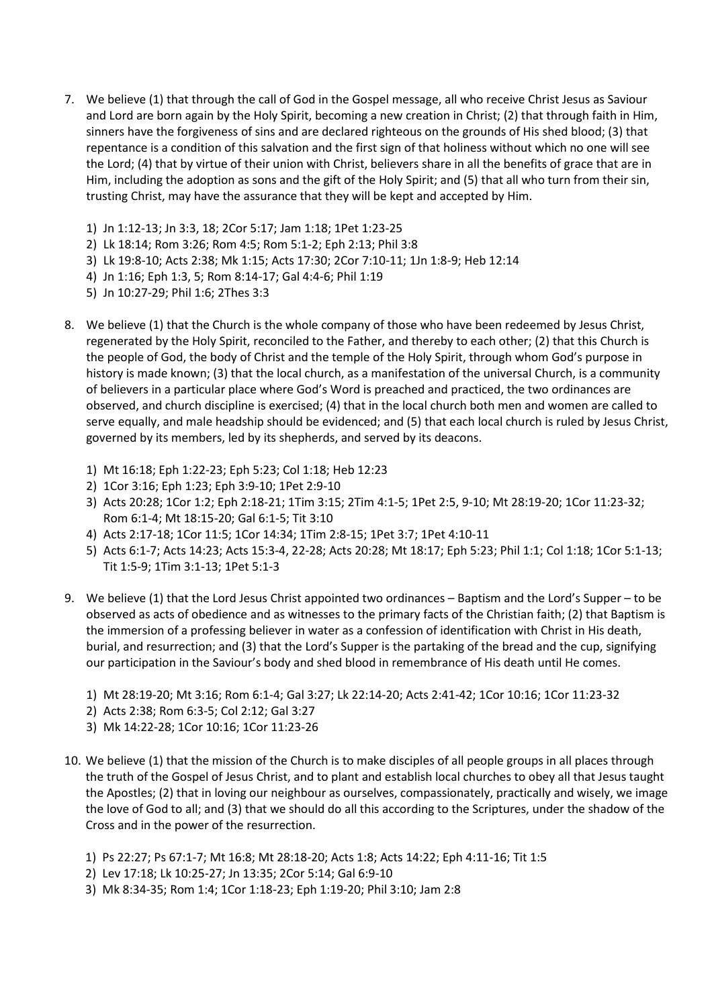- 7. We believe (1) that through the call of God in the Gospel message, all who receive Christ Jesus as Saviour and Lord are born again by the Holy Spirit, becoming a new creation in Christ; (2) that through faith in Him, sinners have the forgiveness of sins and are declared righteous on the grounds of His shed blood; (3) that repentance is a condition of this salvation and the first sign of that holiness without which no one will see the Lord; (4) that by virtue of their union with Christ, believers share in all the benefits of grace that are in Him, including the adoption as sons and the gift of the Holy Spirit; and (5) that all who turn from their sin, trusting Christ, may have the assurance that they will be kept and accepted by Him.
	- 1) Jn 1:12-13; Jn 3:3, 18; 2Cor 5:17; Jam 1:18; 1Pet 1:23-25
	- 2) Lk 18:14; Rom 3:26; Rom 4:5; Rom 5:1-2; Eph 2:13; Phil 3:8
	- 3) Lk 19:8-10; Acts 2:38; Mk 1:15; Acts 17:30; 2Cor 7:10-11; 1Jn 1:8-9; Heb 12:14
	- 4) Jn 1:16; Eph 1:3, 5; Rom 8:14-17; Gal 4:4-6; Phil 1:19
	- 5) Jn 10:27-29; Phil 1:6; 2Thes 3:3
- 8. We believe (1) that the Church is the whole company of those who have been redeemed by Jesus Christ, regenerated by the Holy Spirit, reconciled to the Father, and thereby to each other; (2) that this Church is the people of God, the body of Christ and the temple of the Holy Spirit, through whom God's purpose in history is made known; (3) that the local church, as a manifestation of the universal Church, is a community of believers in a particular place where God's Word is preached and practiced, the two ordinances are observed, and church discipline is exercised; (4) that in the local church both men and women are called to serve equally, and male headship should be evidenced; and (5) that each local church is ruled by Jesus Christ, governed by its members, led by its shepherds, and served by its deacons.
	- 1) Mt 16:18; Eph 1:22-23; Eph 5:23; Col 1:18; Heb 12:23
	- 2) 1Cor 3:16; Eph 1:23; Eph 3:9-10; 1Pet 2:9-10
	- 3) Acts 20:28; 1Cor 1:2; Eph 2:18-21; 1Tim 3:15; 2Tim 4:1-5; 1Pet 2:5, 9-10; Mt 28:19-20; 1Cor 11:23-32; Rom 6:1-4; Mt 18:15-20; Gal 6:1-5; Tit 3:10
	- 4) Acts 2:17-18; 1Cor 11:5; 1Cor 14:34; 1Tim 2:8-15; 1Pet 3:7; 1Pet 4:10-11
	- 5) Acts 6:1-7; Acts 14:23; Acts 15:3-4, 22-28; Acts 20:28; Mt 18:17; Eph 5:23; Phil 1:1; Col 1:18; 1Cor 5:1-13; Tit 1:5-9; 1Tim 3:1-13; 1Pet 5:1-3
- 9. We believe (1) that the Lord Jesus Christ appointed two ordinances Baptism and the Lord's Supper to be observed as acts of obedience and as witnesses to the primary facts of the Christian faith; (2) that Baptism is the immersion of a professing believer in water as a confession of identification with Christ in His death, burial, and resurrection; and (3) that the Lord's Supper is the partaking of the bread and the cup, signifying our participation in the Saviour's body and shed blood in remembrance of His death until He comes.
	- 1) Mt 28:19-20; Mt 3:16; Rom 6:1-4; Gal 3:27; Lk 22:14-20; Acts 2:41-42; 1Cor 10:16; 1Cor 11:23-32
	- 2) Acts 2:38; Rom 6:3-5; Col 2:12; Gal 3:27
	- 3) Mk 14:22-28; 1Cor 10:16; 1Cor 11:23-26
- 10. We believe (1) that the mission of the Church is to make disciples of all people groups in all places through the truth of the Gospel of Jesus Christ, and to plant and establish local churches to obey all that Jesus taught the Apostles; (2) that in loving our neighbour as ourselves, compassionately, practically and wisely, we image the love of God to all; and (3) that we should do all this according to the Scriptures, under the shadow of the Cross and in the power of the resurrection.
	- 1) Ps 22:27; Ps 67:1-7; Mt 16:8; Mt 28:18-20; Acts 1:8; Acts 14:22; Eph 4:11-16; Tit 1:5
	- 2) Lev 17:18; Lk 10:25-27; Jn 13:35; 2Cor 5:14; Gal 6:9-10
	- 3) Mk 8:34-35; Rom 1:4; 1Cor 1:18-23; Eph 1:19-20; Phil 3:10; Jam 2:8